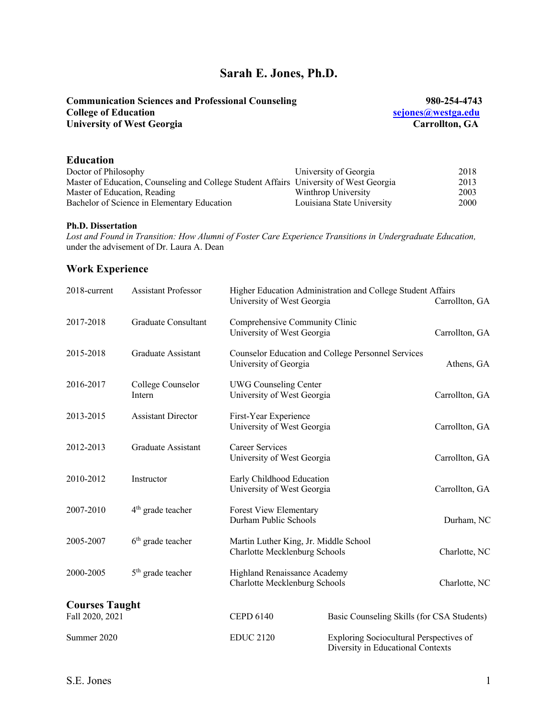# **Sarah E. Jones, Ph.D.**

| <b>Communication Sciences and Professional Counseling</b> | 980-254-4743       |
|-----------------------------------------------------------|--------------------|
| <b>College of Education</b>                               | sejones@westga.edu |
| <b>University of West Georgia</b>                         | Carrollton, GA     |
|                                                           |                    |

## **Education**

| Doctor of Philosophy                                                                   | University of Georgia      | 2018 |
|----------------------------------------------------------------------------------------|----------------------------|------|
| Master of Education, Counseling and College Student Affairs University of West Georgia |                            | 2013 |
| Master of Education, Reading                                                           | Winthrop University        | 2003 |
| Bachelor of Science in Elementary Education                                            | Louisiana State University | 2000 |

#### **Ph.D. Dissertation**

*Lost and Found in Transition: How Alumni of Foster Care Experience Transitions in Undergraduate Education,* under the advisement of Dr. Laura A. Dean

## **Work Experience**

| 2018-current                             | <b>Assistant Professor</b>  | University of West Georgia                                             | Higher Education Administration and College Student Affairs                  | Carrollton, GA |
|------------------------------------------|-----------------------------|------------------------------------------------------------------------|------------------------------------------------------------------------------|----------------|
| 2017-2018                                | Graduate Consultant         | Comprehensive Community Clinic<br>University of West Georgia           |                                                                              | Carrollton, GA |
| 2015-2018                                | Graduate Assistant          | University of Georgia                                                  | Counselor Education and College Personnel Services                           | Athens, GA     |
| 2016-2017                                | College Counselor<br>Intern | <b>UWG Counseling Center</b><br>University of West Georgia             |                                                                              | Carrollton, GA |
| 2013-2015                                | <b>Assistant Director</b>   | First-Year Experience<br>University of West Georgia                    |                                                                              | Carrollton, GA |
| 2012-2013                                | Graduate Assistant          | Career Services<br>University of West Georgia                          |                                                                              | Carrollton, GA |
| 2010-2012                                | Instructor                  | Early Childhood Education<br>University of West Georgia                |                                                                              | Carrollton, GA |
| 2007-2010                                | $4th$ grade teacher         | <b>Forest View Elementary</b><br>Durham Public Schools                 |                                                                              | Durham, NC     |
| 2005-2007                                | $6th$ grade teacher         | Martin Luther King, Jr. Middle School<br>Charlotte Mecklenburg Schools |                                                                              | Charlotte, NC  |
| 2000-2005                                | $5th$ grade teacher         | Highland Renaissance Academy<br>Charlotte Mecklenburg Schools          |                                                                              | Charlotte, NC  |
| <b>Courses Taught</b><br>Fall 2020, 2021 |                             | <b>CEPD 6140</b>                                                       | Basic Counseling Skills (for CSA Students)                                   |                |
| Summer 2020                              |                             | <b>EDUC 2120</b>                                                       | Exploring Sociocultural Perspectives of<br>Diversity in Educational Contexts |                |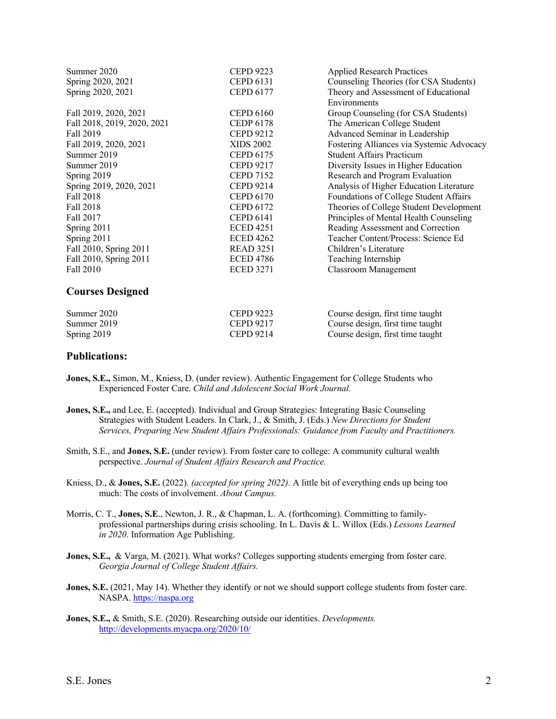| Summer 2020                 | <b>CEPD 9223</b> | <b>Applied Research Practices</b>         |
|-----------------------------|------------------|-------------------------------------------|
| Spring 2020, 2021           | <b>CEPD 6131</b> | Counseling Theories (for CSA Students)    |
| Spring 2020, 2021           | <b>CEPD 6177</b> | Theory and Assessment of Educational      |
|                             |                  | Environments                              |
| Fall 2019, 2020, 2021       | <b>CEPD 6160</b> | Group Counseling (for CSA Students)       |
| Fall 2018, 2019, 2020, 2021 | <b>CEDP 6178</b> | The American College Student              |
| Fall 2019                   | <b>CEPD 9212</b> | Advanced Seminar in Leadership            |
| Fall 2019, 2020, 2021       | <b>XIDS 2002</b> | Fostering Alliances via Systemic Advocacy |
| Summer 2019                 | <b>CEPD 6175</b> | <b>Student Affairs Practicum</b>          |
| Summer 2019                 | <b>CEPD 9217</b> | Diversity Issues in Higher Education      |
| Spring 2019                 | <b>CEPD 7152</b> | Research and Program Evaluation           |
| Spring 2019, 2020, 2021     | <b>CEPD 9214</b> | Analysis of Higher Education Literature   |
| Fall 2018                   | <b>CEPD 6170</b> | Foundations of College Student Affairs    |
| Fall 2018                   | <b>CEPD 6172</b> | Theories of College Student Development   |
| Fall 2017                   | <b>CEPD 6141</b> | Principles of Mental Health Counseling    |
| Spring 2011                 | <b>ECED 4251</b> | Reading Assessment and Correction         |
| Spring 2011                 | <b>ECED 4262</b> | Teacher Content/Process: Science Ed       |
| Fall 2010, Spring 2011      | <b>READ 3251</b> | Children's Literature                     |
| Fall 2010, Spring 2011      | <b>ECED 4786</b> | Teaching Internship                       |
| Fall 2010                   | <b>ECED 3271</b> | <b>Classroom Management</b>               |
| <b>Courses Designed</b>     |                  |                                           |

| Summer 2020 | <b>CEPD 9223</b> | Course design, first time taught |
|-------------|------------------|----------------------------------|
| Summer 2019 | CEPD 9217        | Course design, first time taught |
| Spring 2019 | CEPD 9214        | Course design, first time taught |

#### **Publications:**

- **Jones, S.E.,** Simon, M., Kniess, D. (under review). Authentic Engagement for College Students who Experienced Foster Care. *Child and Adolescent Social Work Journal.*
- **Jones, S.E.,** and Lee, E. (accepted). Individual and Group Strategies: Integrating Basic Counseling Strategies with Student Leaders. In Clark, J., & Smith, J. (Eds.) *New Directions for Student Services, Preparing New Student Affairs Professionals: Guidance from Faculty and Practitioners.*
- Smith, S.E., and **Jones, S.E.** (under review). From foster care to college: A community cultural wealth perspective. *Journal of Student Affairs Research and Practice.*
- Kniess, D., & **Jones, S.E.** (2022). *(accepted for spring 2022).* A little bit of everything ends up being too much: The costs of involvement. *About Campus.*
- Morris, C. T., **Jones, S.E**., Newton, J. R., & Chapman, L. A. (forthcoming). Committing to familyprofessional partnerships during crisis schooling. In L. Davis & L. Willox (Eds.) *Lessons Learned in 2020*. Information Age Publishing.
- **Jones, S.E.,** & Varga, M. (2021). What works? Colleges supporting students emerging from foster care. *Georgia Journal of College Student Affairs.*
- **Jones, S.E.** (2021, May 14). Whether they identify or not we should support college students from foster care. NASPA. https://naspa.org
- **Jones, S.E.,** & Smith, S.E. (2020). Researching outside our identities. *Developments.*  http://developments.myacpa.org/2020/10/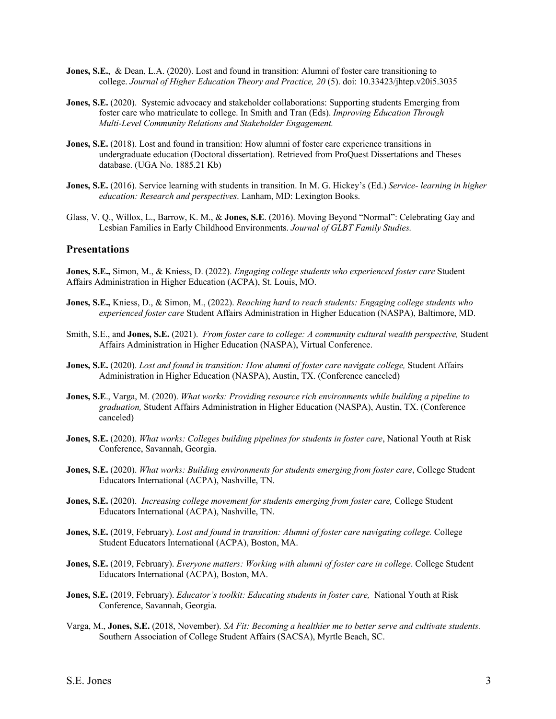- **Jones, S.E., & Dean, L.A. (2020).** Lost and found in transition: Alumni of foster care transitioning to college. *Journal of Higher Education Theory and Practice, 20* (5). doi: 10.33423/jhtep.v20i5.3035
- **Jones, S.E.** (2020). Systemic advocacy and stakeholder collaborations: Supporting students Emerging from foster care who matriculate to college. In Smith and Tran (Eds). *Improving Education Through Multi-Level Community Relations and Stakeholder Engagement.*
- **Jones, S.E.** (2018). Lost and found in transition: How alumni of foster care experience transitions in undergraduate education (Doctoral dissertation). Retrieved from ProQuest Dissertations and Theses database. (UGA No. 1885.21 Kb)
- **Jones, S.E.** (2016). Service learning with students in transition. In M. G. Hickey's (Ed.) *Service- learning in higher education: Research and perspectives*. Lanham, MD: Lexington Books.
- Glass, V. Q., Willox, L., Barrow, K. M., & **Jones, S.E**. (2016). Moving Beyond "Normal": Celebrating Gay and Lesbian Families in Early Childhood Environments. *Journal of GLBT Family Studies.*

#### **Presentations**

**Jones, S.E.,** Simon, M., & Kniess, D. (2022). *Engaging college students who experienced foster care* Student Affairs Administration in Higher Education (ACPA), St. Louis, MO.

- **Jones, S.E.,** Kniess, D., & Simon, M., (2022). *Reaching hard to reach students: Engaging college students who experienced foster care* Student Affairs Administration in Higher Education (NASPA), Baltimore, MD.
- Smith, S.E., and **Jones, S.E.** (2021). *From foster care to college: A community cultural wealth perspective,* Student Affairs Administration in Higher Education (NASPA), Virtual Conference.
- **Jones, S.E.** (2020). *Lost and found in transition: How alumni of foster care navigate college,* Student Affairs Administration in Higher Education (NASPA), Austin, TX. (Conference canceled)
- **Jones, S.E**., Varga, M. (2020). *What works: Providing resource rich environments while building a pipeline to graduation,* Student Affairs Administration in Higher Education (NASPA), Austin, TX. (Conference canceled)
- **Jones, S.E.** (2020). *What works: Colleges building pipelines for students in foster care*, National Youth at Risk Conference, Savannah, Georgia.
- **Jones, S.E.** (2020). *What works: Building environments for students emerging from foster care*, College Student Educators International (ACPA), Nashville, TN.
- **Jones, S.E.** (2020). *Increasing college movement for students emerging from foster care,* College Student Educators International (ACPA), Nashville, TN.
- **Jones, S.E.** (2019, February). *Lost and found in transition: Alumni of foster care navigating college.* College Student Educators International (ACPA), Boston, MA.
- **Jones, S.E.** (2019, February). *Everyone matters: Working with alumni of foster care in college*. College Student Educators International (ACPA), Boston, MA.
- **Jones, S.E.** (2019, February). *Educator's toolkit: Educating students in foster care,* National Youth at Risk Conference, Savannah, Georgia.
- Varga, M., **Jones, S.E.** (2018, November). *SA Fit: Becoming a healthier me to better serve and cultivate students.* Southern Association of College Student Affairs (SACSA), Myrtle Beach, SC.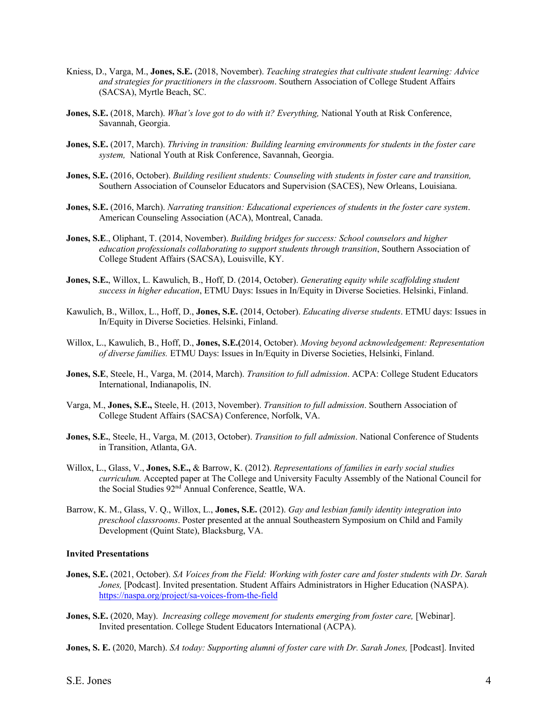- Kniess, D., Varga, M., **Jones, S.E.** (2018, November). *Teaching strategies that cultivate student learning: Advice and strategies for practitioners in the classroom*. Southern Association of College Student Affairs (SACSA), Myrtle Beach, SC.
- **Jones, S.E.** (2018, March). *What's love got to do with it? Everything,* National Youth at Risk Conference, Savannah, Georgia.
- **Jones, S.E.** (2017, March). *Thriving in transition: Building learning environments for students in the foster care system,* National Youth at Risk Conference, Savannah, Georgia.
- **Jones, S.E.** (2016, October). *Building resilient students: Counseling with students in foster care and transition,* Southern Association of Counselor Educators and Supervision (SACES), New Orleans, Louisiana.
- **Jones, S.E.** (2016, March). *Narrating transition: Educational experiences of students in the foster care system*. American Counseling Association (ACA), Montreal, Canada.
- **Jones, S.E**., Oliphant, T. (2014, November). *Building bridges for success: School counselors and higher education professionals collaborating to support students through transition*, Southern Association of College Student Affairs (SACSA), Louisville, KY.
- **Jones, S.E.**, Willox, L. Kawulich, B., Hoff, D. (2014, October). *Generating equity while scaffolding student success in higher education*, ETMU Days: Issues in In/Equity in Diverse Societies. Helsinki, Finland.
- Kawulich, B., Willox, L., Hoff, D., **Jones, S.E.** (2014, October). *Educating diverse students*. ETMU days: Issues in In/Equity in Diverse Societies. Helsinki, Finland.
- Willox, L., Kawulich, B., Hoff, D., **Jones, S.E.(**2014, October). *Moving beyond acknowledgement: Representation of diverse families.* ETMU Days: Issues in In/Equity in Diverse Societies, Helsinki, Finland.
- **Jones, S.E**, Steele, H., Varga, M. (2014, March). *Transition to full admission*. ACPA: College Student Educators International, Indianapolis, IN.
- Varga, M., **Jones, S.E.,** Steele, H. (2013, November). *Transition to full admission*. Southern Association of College Student Affairs (SACSA) Conference, Norfolk, VA.
- **Jones, S.E.**, Steele, H., Varga, M. (2013, October). *Transition to full admission*. National Conference of Students in Transition, Atlanta, GA.
- Willox, L., Glass, V., **Jones, S.E.,** & Barrow, K. (2012). *Representations of families in early social studies curriculum.* Accepted paper at The College and University Faculty Assembly of the National Council for the Social Studies 92<sup>nd</sup> Annual Conference, Seattle, WA.
- Barrow, K. M., Glass, V. Q., Willox, L., **Jones, S.E.** (2012). *Gay and lesbian family identity integration into preschool classrooms*. Poster presented at the annual Southeastern Symposium on Child and Family Development (Quint State), Blacksburg, VA.

#### **Invited Presentations**

- **Jones, S.E.** (2021, October). *SA Voices from the Field: Working with foster care and foster students with Dr. Sarah Jones,* [Podcast]. Invited presentation. Student Affairs Administrators in Higher Education (NASPA). https://naspa.org/project/sa-voices-from-the-field
- **Jones, S.E.** (2020, May). *Increasing college movement for students emerging from foster care,* [Webinar]. Invited presentation. College Student Educators International (ACPA).
- **Jones, S. E.** (2020, March). *SA today: Supporting alumni of foster care with Dr. Sarah Jones,* [Podcast]. Invited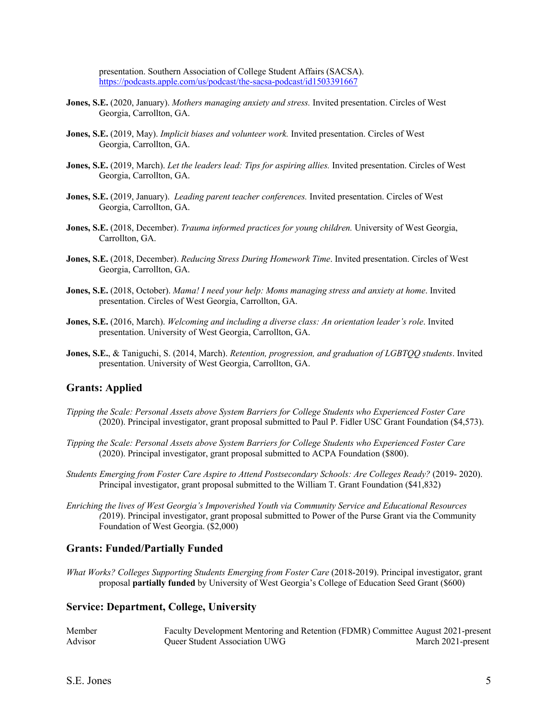presentation. Southern Association of College Student Affairs (SACSA). https://podcasts.apple.com/us/podcast/the-sacsa-podcast/id1503391667

- **Jones, S.E.** (2020, January). *Mothers managing anxiety and stress.* Invited presentation. Circles of West Georgia, Carrollton, GA.
- **Jones, S.E.** (2019, May). *Implicit biases and volunteer work.* Invited presentation. Circles of West Georgia, Carrollton, GA.
- **Jones, S.E.** (2019, March). *Let the leaders lead: Tips for aspiring allies.* Invited presentation. Circles of West Georgia, Carrollton, GA.
- **Jones, S.E.** (2019, January). *Leading parent teacher conferences.* Invited presentation. Circles of West Georgia, Carrollton, GA.
- **Jones, S.E.** (2018, December). *Trauma informed practices for young children.* University of West Georgia, Carrollton, GA.
- **Jones, S.E.** (2018, December). *Reducing Stress During Homework Time*. Invited presentation. Circles of West Georgia, Carrollton, GA.
- **Jones, S.E.** (2018, October). *Mama! I need your help: Moms managing stress and anxiety at home*. Invited presentation. Circles of West Georgia, Carrollton, GA.
- **Jones, S.E.** (2016, March). *Welcoming and including a diverse class: An orientation leader's role*. Invited presentation. University of West Georgia, Carrollton, GA.
- **Jones, S.E.**, & Taniguchi, S. (2014, March). *Retention, progression, and graduation of LGBTQQ students*. Invited presentation. University of West Georgia, Carrollton, GA.

#### **Grants: Applied**

- *Tipping the Scale: Personal Assets above System Barriers for College Students who Experienced Foster Care*  (2020). Principal investigator, grant proposal submitted to Paul P. Fidler USC Grant Foundation (\$4,573).
- *Tipping the Scale: Personal Assets above System Barriers for College Students who Experienced Foster Care*  (2020). Principal investigator, grant proposal submitted to ACPA Foundation (\$800).
- *Students Emerging from Foster Care Aspire to Attend Postsecondary Schools: Are Colleges Ready?* (2019- 2020). Principal investigator, grant proposal submitted to the William T. Grant Foundation (\$41,832)
- *Enriching the lives of West Georgia's Impoverished Youth via Community Service and Educational Resources (*2019). Principal investigator, grant proposal submitted to Power of the Purse Grant via the Community Foundation of West Georgia. (\$2,000)

### **Grants: Funded/Partially Funded**

*What Works? Colleges Supporting Students Emerging from Foster Care* (2018-2019). Principal investigator, grant proposal **partially funded** by University of West Georgia's College of Education Seed Grant (\$600)

#### **Service: Department, College, University**

| Member  | Faculty Development Mentoring and Retention (FDMR) Committee August 2021-present |                    |
|---------|----------------------------------------------------------------------------------|--------------------|
| Advisor | <b>Oueer Student Association UWG</b>                                             | March 2021-present |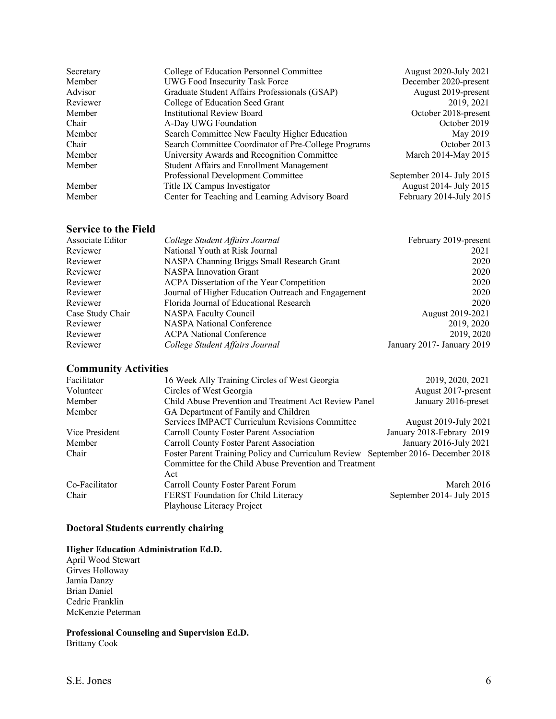| Secretary | College of Education Personnel Committee             | August 2020-July 2021     |
|-----------|------------------------------------------------------|---------------------------|
| Member    | UWG Food Insecurity Task Force                       | December 2020-present     |
| Advisor   | Graduate Student Affairs Professionals (GSAP)        | August 2019-present       |
| Reviewer  | College of Education Seed Grant                      | 2019, 2021                |
| Member    | <b>Institutional Review Board</b>                    | October 2018-present      |
| Chair     | A-Day UWG Foundation                                 | October 2019              |
| Member    | Search Committee New Faculty Higher Education        | May 2019                  |
| Chair     | Search Committee Coordinator of Pre-College Programs | October 2013              |
| Member    | University Awards and Recognition Committee          | March 2014-May 2015       |
| Member    | Student Affairs and Enrollment Management            |                           |
|           | Professional Development Committee                   | September 2014- July 2015 |
| Member    | Title IX Campus Investigator                         | August 2014- July 2015    |
| Member    | Center for Teaching and Learning Advisory Board      | February 2014-July 2015   |

### **Service to the Field**

| Associate Editor | College Student Affairs Journal                     | February 2019-present      |
|------------------|-----------------------------------------------------|----------------------------|
| Reviewer         | National Youth at Risk Journal                      | 2021                       |
| Reviewer         | NASPA Channing Briggs Small Research Grant          | 2020                       |
| Reviewer         | <b>NASPA</b> Innovation Grant                       | 2020                       |
| Reviewer         | ACPA Dissertation of the Year Competition           | 2020                       |
| Reviewer         | Journal of Higher Education Outreach and Engagement | 2020                       |
| Reviewer         | Florida Journal of Educational Research             | 2020                       |
| Case Study Chair | NASPA Faculty Council                               | August 2019-2021           |
| Reviewer         | <b>NASPA National Conference</b>                    | 2019, 2020                 |
| Reviewer         | <b>ACPA</b> National Conference                     | 2019, 2020                 |
| Reviewer         | College Student Affairs Journal                     | January 2017- January 2019 |

# **Community Activities**

| Facilitator    | 16 Week Ally Training Circles of West Georgia                                    | 2019, 2020, 2021          |
|----------------|----------------------------------------------------------------------------------|---------------------------|
| Volunteer      | Circles of West Georgia                                                          | August 2017-present       |
| Member         | Child Abuse Prevention and Treatment Act Review Panel                            | January 2016-preset       |
| Member         | GA Department of Family and Children                                             |                           |
|                | Services IMPACT Curriculum Revisions Committee                                   | August 2019-July 2021     |
| Vice President | Carroll County Foster Parent Association                                         | January 2018-Febrary 2019 |
| Member         | Carroll County Foster Parent Association                                         | January 2016-July 2021    |
| Chair          | Foster Parent Training Policy and Curriculum Review September 2016 December 2018 |                           |
|                | Committee for the Child Abuse Prevention and Treatment                           |                           |
|                | Act                                                                              |                           |
| Co-Facilitator | Carroll County Foster Parent Forum                                               | March $2016$              |
| Chair          | FERST Foundation for Child Literacy                                              | September 2014- July 2015 |
|                | Playhouse Literacy Project                                                       |                           |

### **Doctoral Students currently chairing**

# **Higher Education Administration Ed.D.**

April Wood Stewart Girves Holloway Jamia Danzy Brian Daniel Cedric Franklin McKenzie Peterman

**Professional Counseling and Supervision Ed.D.** Brittany Cook